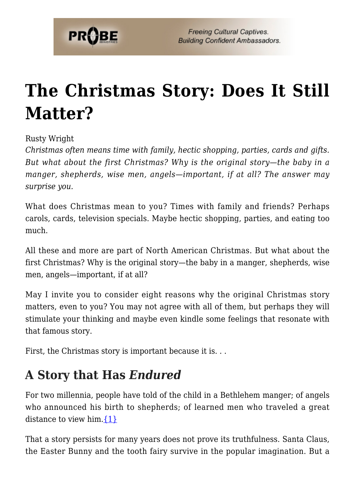

# **[The Christmas Story: Does It Still](https://probe.org/the-christmas-story-does-it-still-matter/) [Matter?](https://probe.org/the-christmas-story-does-it-still-matter/)**

#### Rusty Wright

*Christmas often means time with family, hectic shopping, parties, cards and gifts. But what about the first Christmas? Why is the original story—the baby in a manger, shepherds, wise men, angels—important, if at all? The answer may surprise you.*

What does Christmas mean to you? Times with family and friends? Perhaps carols, cards, television specials. Maybe hectic shopping, parties, and eating too much.

All these and more are part of North American Christmas. But what about the first Christmas? Why is the original story—the baby in a manger, shepherds, wise men, angels—important, if at all?

May I invite you to consider eight reasons why the original Christmas story matters, even to you? You may not agree with all of them, but perhaps they will stimulate your thinking and maybe even kindle some feelings that resonate with that famous story.

First, the Christmas story is important because it is. . .

### **A Story that Has** *Endured*

For two millennia, people have told of the child in a Bethlehem manger; of angels who announced his birth to shepherds; of learned men who traveled a great distance to view him.  $\{1\}$ 

That a story persists for many years does not prove its truthfulness. Santa Claus, the Easter Bunny and the tooth fairy survive in the popular imagination. But a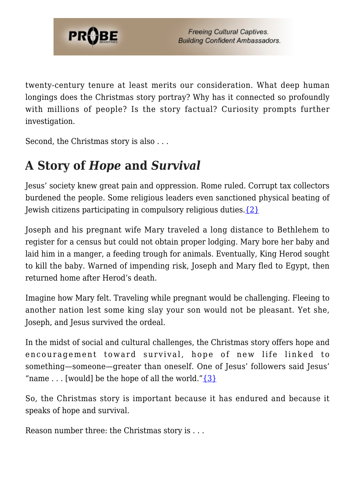

twenty-century tenure at least merits our consideration. What deep human longings does the Christmas story portray? Why has it connected so profoundly with millions of people? Is the story factual? Curiosity prompts further investigation.

Second, the Christmas story is also . . .

# **A Story of** *Hope* **and** *Survival*

Jesus' society knew great pain and oppression. Rome ruled. Corrupt tax collectors burdened the people. Some religious leaders even sanctioned physical beating of Jewish citizens participating in compulsory religious duties[.{2}](#page-8-1)

Joseph and his pregnant wife Mary traveled a long distance to Bethlehem to register for a census but could not obtain proper lodging. Mary bore her baby and laid him in a manger, a feeding trough for animals. Eventually, King Herod sought to kill the baby. Warned of impending risk, Joseph and Mary fled to Egypt, then returned home after Herod's death.

Imagine how Mary felt. Traveling while pregnant would be challenging. Fleeing to another nation lest some king slay your son would not be pleasant. Yet she, Joseph, and Jesus survived the ordeal.

In the midst of social and cultural challenges, the Christmas story offers hope and encouragement toward survival, hope of new life linked to something—someone—greater than oneself. One of Jesus' followers said Jesus' "name ... [would] be the hope of all the world." $\{3\}$ 

So, the Christmas story is important because it has endured and because it speaks of hope and survival.

Reason number three: the Christmas story is . . .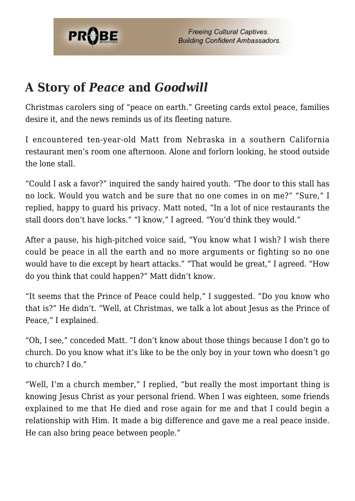

### **A Story of** *Peace* **and** *Goodwill*

Christmas carolers sing of "peace on earth." Greeting cards extol peace, families desire it, and the news reminds us of its fleeting nature.

I encountered ten-year-old Matt from Nebraska in a southern California restaurant men's room one afternoon. Alone and forlorn looking, he stood outside the lone stall.

"Could I ask a favor?" inquired the sandy haired youth. "The door to this stall has no lock. Would you watch and be sure that no one comes in on me?" "Sure," I replied, happy to guard his privacy. Matt noted, "In a lot of nice restaurants the stall doors don't have locks." "I know," I agreed. "You'd think they would."

After a pause, his high-pitched voice said, "You know what I wish? I wish there could be peace in all the earth and no more arguments or fighting so no one would have to die except by heart attacks." "That would be great," I agreed. "How do you think that could happen?" Matt didn't know.

"It seems that the Prince of Peace could help," I suggested. "Do you know who that is?" He didn't. "Well, at Christmas, we talk a lot about Jesus as the Prince of Peace," I explained.

"Oh, I see," conceded Matt. "I don't know about those things because I don't go to church. Do you know what it's like to be the only boy in your town who doesn't go to church? I do."

"Well, I'm a church member," I replied, "but really the most important thing is knowing Jesus Christ as your personal friend. When I was eighteen, some friends explained to me that He died and rose again for me and that I could begin a relationship with Him. It made a big difference and gave me a real peace inside. He can also bring peace between people."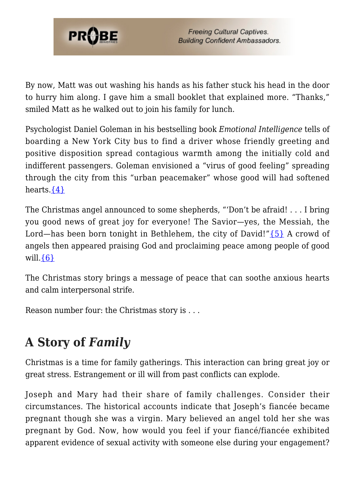

By now, Matt was out washing his hands as his father stuck his head in the door to hurry him along. I gave him a small booklet that explained more. "Thanks," smiled Matt as he walked out to join his family for lunch.

Psychologist Daniel Goleman in his bestselling book *Emotional Intelligence* tells of boarding a New York City bus to find a driver whose friendly greeting and positive disposition spread contagious warmth among the initially cold and indifferent passengers. Goleman envisioned a "virus of good feeling" spreading through the city from this "urban peacemaker" whose good will had softened hearts. $\{4\}$ 

The Christmas angel announced to some shepherds, "'Don't be afraid! . . . I bring you good news of great joy for everyone! The Savior—yes, the Messiah, the Lord—has been born tonight in Bethlehem, the city of David!" $\{5\}$  A crowd of angels then appeared praising God and proclaiming peace among people of good will. $\{6\}$ 

The Christmas story brings a message of peace that can soothe anxious hearts and calm interpersonal strife.

Reason number four: the Christmas story is . . .

# **A Story of** *Family*

Christmas is a time for family gatherings. This interaction can bring great joy or great stress. Estrangement or ill will from past conflicts can explode.

Joseph and Mary had their share of family challenges. Consider their circumstances. The historical accounts indicate that Joseph's fiancée became pregnant though she was a virgin. Mary believed an angel told her she was pregnant by God. Now, how would you feel if your fiancé/fiancée exhibited apparent evidence of sexual activity with someone else during your engagement?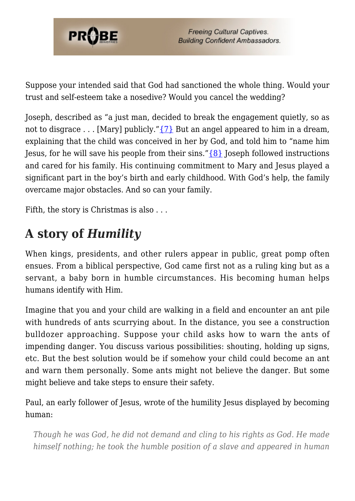

Suppose your intended said that God had sanctioned the whole thing. Would your trust and self-esteem take a nosedive? Would you cancel the wedding?

Joseph, described as "a just man, decided to break the engagement quietly, so as not to disgrace . . . [Mary] publicly." $\{7\}$  But an angel appeared to him in a dream, explaining that the child was conceived in her by God, and told him to "name him Jesus, for he will save his people from their sins." $\{8\}$  Joseph followed instructions and cared for his family. His continuing commitment to Mary and Jesus played a significant part in the boy's birth and early childhood. With God's help, the family overcame major obstacles. And so can your family.

Fifth, the story is Christmas is also . . .

# **A story of** *Humility*

When kings, presidents, and other rulers appear in public, great pomp often ensues. From a biblical perspective, God came first not as a ruling king but as a servant, a baby born in humble circumstances. His becoming human helps humans identify with Him.

Imagine that you and your child are walking in a field and encounter an ant pile with hundreds of ants scurrying about. In the distance, you see a construction bulldozer approaching. Suppose your child asks how to warn the ants of impending danger. You discuss various possibilities: shouting, holding up signs, etc. But the best solution would be if somehow your child could become an ant and warn them personally. Some ants might not believe the danger. But some might believe and take steps to ensure their safety.

Paul, an early follower of Jesus, wrote of the humility Jesus displayed by becoming human:

*Though he was God, he did not demand and cling to his rights as God. He made himself nothing; he took the humble position of a slave and appeared in human*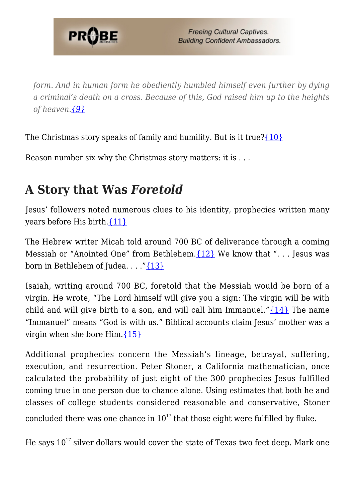

*form. And in human form he obediently humbled himself even further by dying a criminal's death on a cross. Because of this, God raised him up to the heights of heaven.[{9}](#page-8-8)*

The Christmas story speaks of family and humility. But is it true? $\{10\}$ 

Reason number six why the Christmas story matters: it is . . .

# **A Story that Was** *Foretold*

Jesus' followers noted numerous clues to his identity, prophecies written many years before His birth.[{11}](#page-8-10)

The Hebrew writer Micah told around 700 BC of deliverance through a coming Messiah or "Anointed One" from Bethlehem.  $\{12\}$  We know that "... Jesus was born in Bethlehem of Judea. . . ."[{13}](#page-8-12)

Isaiah, writing around 700 BC, foretold that the Messiah would be born of a virgin. He wrote, "The Lord himself will give you a sign: The virgin will be with child and will give birth to a son, and will call him Immanuel." $\{14\}$  The name "Immanuel" means "God is with us." Biblical accounts claim Jesus' mother was a virgin when she bore Him[.{15}](#page-8-14)

Additional prophecies concern the Messiah's lineage, betrayal, suffering, execution, and resurrection. Peter Stoner, a California mathematician, once calculated the probability of just eight of the 300 prophecies Jesus fulfilled coming true in one person due to chance alone. Using estimates that both he and classes of college students considered reasonable and conservative, Stoner concluded there was one chance in  $10^{17}$  that those eight were fulfilled by fluke.

He says  $10^{17}$  silver dollars would cover the state of Texas two feet deep. Mark one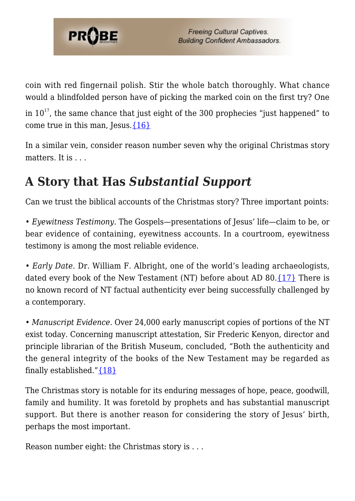

coin with red fingernail polish. Stir the whole batch thoroughly. What chance would a blindfolded person have of picking the marked coin on the first try? One

in  $10^{17}$ , the same chance that just eight of the 300 prophecies "just happened" to come true in this man, Jesus. $\{16\}$ 

In a similar vein, consider reason number seven why the original Christmas story matters. It is . . .

# **A Story that Has** *Substantial Support*

Can we trust the biblical accounts of the Christmas story? Three important points:

• *Eyewitness Testimony*. The Gospels—presentations of Jesus' life—claim to be, or bear evidence of containing, eyewitness accounts. In a courtroom, eyewitness testimony is among the most reliable evidence.

• *Early Date*. Dr. William F. Albright, one of the world's leading archaeologists, dated every book of the New Testament (NT) before about AD 80. $\{17\}$  There is no known record of NT factual authenticity ever being successfully challenged by a contemporary.

• *Manuscript Evidence*. Over 24,000 early manuscript copies of portions of the NT exist today. Concerning manuscript attestation, Sir Frederic Kenyon, director and principle librarian of the British Museum, concluded, "Both the authenticity and the general integrity of the books of the New Testament may be regarded as finally established." ${18}$ 

The Christmas story is notable for its enduring messages of hope, peace, goodwill, family and humility. It was foretold by prophets and has substantial manuscript support. But there is another reason for considering the story of Jesus' birth, perhaps the most important.

Reason number eight: the Christmas story is . . .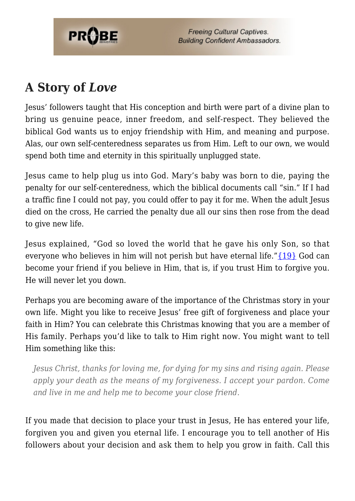

**Freeing Cultural Captives. Building Confident Ambassadors.** 

# **A Story of** *Love*

Jesus' followers taught that His conception and birth were part of a divine plan to bring us genuine peace, inner freedom, and self-respect. They believed the biblical God wants us to enjoy friendship with Him, and meaning and purpose. Alas, our own self-centeredness separates us from Him. Left to our own, we would spend both time and eternity in this spiritually unplugged state.

Jesus came to help plug us into God. Mary's baby was born to die, paying the penalty for our self-centeredness, which the biblical documents call "sin." If I had a traffic fine I could not pay, you could offer to pay it for me. When the adult Jesus died on the cross, He carried the penalty due all our sins then rose from the dead to give new life.

Jesus explained, "God so loved the world that he gave his only Son, so that everyone who believes in him will not perish but have eternal life."[{19}](#page-9-0) God can become your friend if you believe in Him, that is, if you trust Him to forgive you. He will never let you down.

Perhaps you are becoming aware of the importance of the Christmas story in your own life. Might you like to receive Jesus' free gift of forgiveness and place your faith in Him? You can celebrate this Christmas knowing that you are a member of His family. Perhaps you'd like to talk to Him right now. You might want to tell Him something like this:

*Jesus Christ, thanks for loving me, for dying for my sins and rising again. Please apply your death as the means of my forgiveness. I accept your pardon. Come and live in me and help me to become your close friend.*

If you made that decision to place your trust in Jesus, He has entered your life, forgiven you and given you eternal life. I encourage you to tell another of His followers about your decision and ask them to help you grow in faith. Call this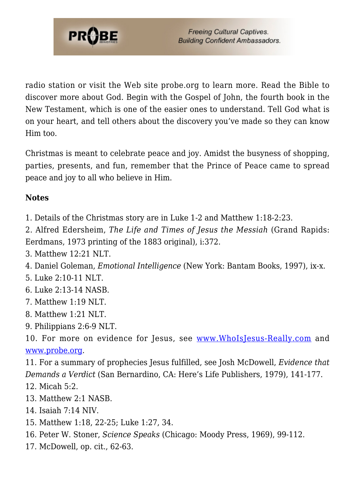

radio station or visit the Web site probe.org to learn more. Read the Bible to discover more about God. Begin with the Gospel of John, the fourth book in the New Testament, which is one of the easier ones to understand. Tell God what is on your heart, and tell others about the discovery you've made so they can know Him too.

Christmas is meant to celebrate peace and joy. Amidst the busyness of shopping, parties, presents, and fun, remember that the Prince of Peace came to spread peace and joy to all who believe in Him.

#### **Notes**

<span id="page-8-0"></span>1. Details of the Christmas story are in Luke 1-2 and Matthew 1:18-2:23.

<span id="page-8-1"></span>2. Alfred Edersheim, *The Life and Times of Jesus the Messiah* (Grand Rapids: Eerdmans, 1973 printing of the 1883 original), i:372.

<span id="page-8-2"></span>3. Matthew 12:21 NLT.

<span id="page-8-3"></span>4. Daniel Goleman, *Emotional Intelligence* (New York: Bantam Books, 1997), ix-x.

<span id="page-8-4"></span>5. Luke 2:10-11 NLT.

<span id="page-8-5"></span>6. Luke 2:13-14 NASB.

- <span id="page-8-6"></span>7. Matthew 1:19 NLT.
- <span id="page-8-7"></span>8. Matthew 1:21 NLT.
- <span id="page-8-8"></span>9. Philippians 2:6-9 NLT.

<span id="page-8-9"></span>10. For more on evidence for Jesus, see [www.WhoIsJesus-Really.com](http://www.WhoIsJesus-Really.com) and [www.probe.org](http://www.probe.org).

<span id="page-8-10"></span>11. For a summary of prophecies Jesus fulfilled, see Josh McDowell, *Evidence that Demands a Verdict* (San Bernardino, CA: Here's Life Publishers, 1979), 141-177.

- <span id="page-8-11"></span>12. Micah 5:2.
- <span id="page-8-12"></span>13. Matthew 2:1 NASB.
- <span id="page-8-13"></span>14. Isaiah 7:14 NIV.
- <span id="page-8-14"></span>15. Matthew 1:18, 22-25; Luke 1:27, 34.
- <span id="page-8-15"></span>16. Peter W. Stoner, *Science Speaks* (Chicago: Moody Press, 1969), 99-112.
- <span id="page-8-17"></span><span id="page-8-16"></span>17. McDowell, op. cit., 62-63.